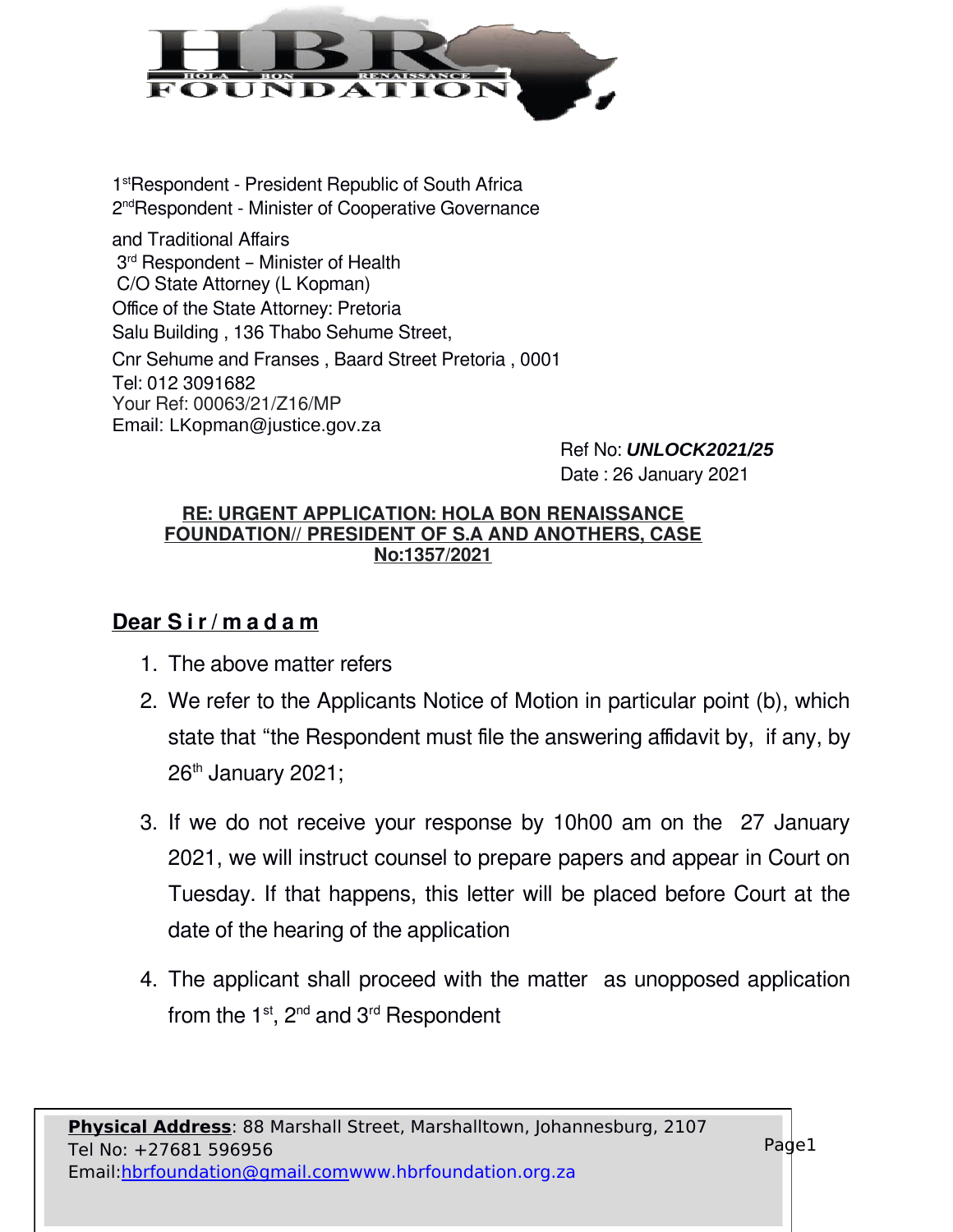

1<sup>st</sup>Respondent - President Republic of South Africa 2<sup>nd</sup>Respondent - Minister of Cooperative Governance

and Traditional Affairs 3<sup>rd</sup> Respondent - Minister of Health C/O State Attorney (L Kopman) Office of the State Attorney: Pretoria Salu Building , 136 Thabo Sehume Street, Cnr Sehume and Franses , Baard Street Pretoria , 0001 Tel: 012 3091682 Your Ref: 00063/21/Z16/MP Email: LKopman@justice.gov.za

Ref No: *UNLOCK2021/25* Date : 26 January 2021

## **RE: URGENT APPLICATION: HOLA BON RENAISSANCE FOUNDATION// PRESIDENT OF S.A AND ANOTHERS, CASE No:1357/2021**

## **Dear S i r / m a d a m**

- 1. The above matter refers
- 2. We refer to the Applicants Notice of Motion in particular point (b), which state that "the Respondent must file the answering affidavit by, if any, by  $26<sup>th</sup>$  January 2021;
- 3. If we do not receive your response by 10h00 am on the 27 January 2021, we will instruct counsel to prepare papers and appear in Court on Tuesday. If that happens, this letter will be placed before Court at the date of the hearing of the application
- 4. The applicant shall proceed with the matter as unopposed application from the  $1<sup>st</sup>$ ,  $2<sup>nd</sup>$  and  $3<sup>rd</sup>$  Respondent